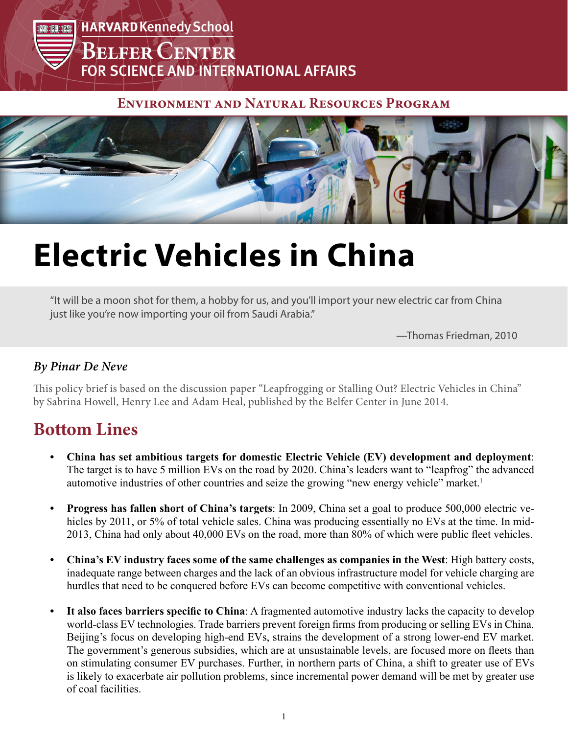

#### **Environment and Natural Resources Program**



# **Electric Vehicles in China**

"It will be a moon shot for them, a hobby for us, and you'll import your new electric car from China just like you're now importing your oil from Saudi Arabia."

—Thomas Friedman, 2010

#### *By Pinar De Neve*

This policy brief is based on the discussion paper "Leapfrogging or Stalling Out? Electric Vehicles in China" by Sabrina Howell, Henry Lee and Adam Heal, published by the Belfer Center in June 2014.

## **Bottom Lines**

- **• China has set ambitious targets for domestic Electric Vehicle (EV) development and deployment**: The target is to have 5 million EVs on the road by 2020. China's leaders want to "leapfrog" the advanced automotive industries of other countries and seize the growing "new energy vehicle" market.<sup>1</sup>
- **• Progress has fallen short of China's targets**: In 2009, China set a goal to produce 500,000 electric vehicles by 2011, or 5% of total vehicle sales. China was producing essentially no EVs at the time. In mid-2013, China had only about 40,000 EVs on the road, more than 80% of which were public fleet vehicles.
- **• China's EV industry faces some of the same challenges as companies in the West**: High battery costs, inadequate range between charges and the lack of an obvious infrastructure model for vehicle charging are hurdles that need to be conquered before EVs can become competitive with conventional vehicles.
- **• It also faces barriers specific to China**: A fragmented automotive industry lacks the capacity to develop world-class EV technologies. Trade barriers prevent foreign firms from producing or selling EVs in China. Beijing's focus on developing high-end EVs, strains the development of a strong lower-end EV market. The government's generous subsidies, which are at unsustainable levels, are focused more on fleets than on stimulating consumer EV purchases. Further, in northern parts of China, a shift to greater use of EVs is likely to exacerbate air pollution problems, since incremental power demand will be met by greater use of coal facilities.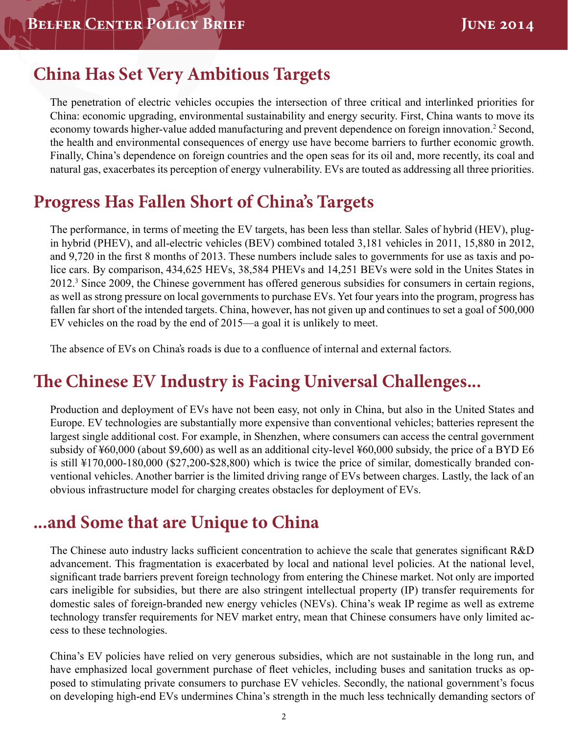## **China Has Set Very Ambitious Targets**

The penetration of electric vehicles occupies the intersection of three critical and interlinked priorities for China: economic upgrading, environmental sustainability and energy security. First, China wants to move its economy towards higher-value added manufacturing and prevent dependence on foreign innovation.<sup>2</sup> Second, the health and environmental consequences of energy use have become barriers to further economic growth. Finally, China's dependence on foreign countries and the open seas for its oil and, more recently, its coal and natural gas, exacerbates its perception of energy vulnerability. EVs are touted as addressing all three priorities.

# **Progress Has Fallen Short of China's Targets**

The performance, in terms of meeting the EV targets, has been less than stellar. Sales of hybrid (HEV), plugin hybrid (PHEV), and all-electric vehicles (BEV) combined totaled 3,181 vehicles in 2011, 15,880 in 2012, and 9,720 in the first 8 months of 2013. These numbers include sales to governments for use as taxis and police cars. By comparison, 434,625 HEVs, 38,584 PHEVs and 14,251 BEVs were sold in the Unites States in 2012.3 Since 2009, the Chinese government has offered generous subsidies for consumers in certain regions, as well as strong pressure on local governments to purchase EVs. Yet four years into the program, progress has fallen far short of the intended targets. China, however, has not given up and continues to set a goal of 500,000 EV vehicles on the road by the end of 2015—a goal it is unlikely to meet.

The absence of EVs on China's roads is due to a confluence of internal and external factors.

## **The Chinese EV Industry is Facing Universal Challenges...**

Production and deployment of EVs have not been easy, not only in China, but also in the United States and Europe. EV technologies are substantially more expensive than conventional vehicles; batteries represent the largest single additional cost. For example, in Shenzhen, where consumers can access the central government subsidy of ¥60,000 (about \$9,600) as well as an additional city-level ¥60,000 subsidy, the price of a BYD E6 is still ¥170,000-180,000 (\$27,200-\$28,800) which is twice the price of similar, domestically branded conventional vehicles. Another barrier is the limited driving range of EVs between charges. Lastly, the lack of an obvious infrastructure model for charging creates obstacles for deployment of EVs.

## **...and Some that are Unique to China**

The Chinese auto industry lacks sufficient concentration to achieve the scale that generates significant R&D advancement. This fragmentation is exacerbated by local and national level policies. At the national level, significant trade barriers prevent foreign technology from entering the Chinese market. Not only are imported cars ineligible for subsidies, but there are also stringent intellectual property (IP) transfer requirements for domestic sales of foreign-branded new energy vehicles (NEVs). China's weak IP regime as well as extreme technology transfer requirements for NEV market entry, mean that Chinese consumers have only limited access to these technologies.

China's EV policies have relied on very generous subsidies, which are not sustainable in the long run, and have emphasized local government purchase of fleet vehicles, including buses and sanitation trucks as opposed to stimulating private consumers to purchase EV vehicles. Secondly, the national government's focus on developing high-end EVs undermines China's strength in the much less technically demanding sectors of